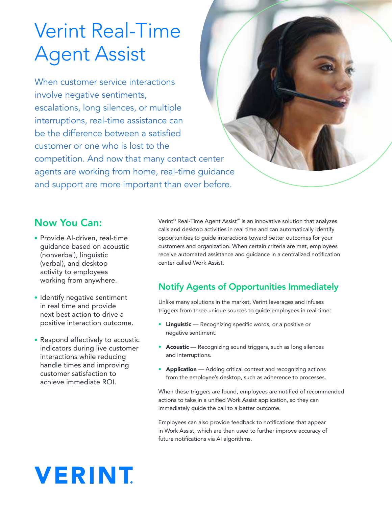## Verint Real-Time Agent Assist

When customer service interactions involve negative sentiments, escalations, long silences, or multiple interruptions, real-time assistance can be the difference between a satisfied customer or one who is lost to the competition. And now that many contact center agents are working from home, real-time guidance and support are more important than ever before.

### Now You Can:

- Provide AI-driven, real-time guidance based on acoustic (nonverbal), linguistic (verbal), and desktop activity to employees working from anywhere.
- Identify negative sentiment in real time and provide next best action to drive a positive interaction outcome.
- Respond effectively to acoustic indicators during live customer interactions while reducing handle times and improving customer satisfaction to achieve immediate ROI.

Verint® Real-Time Agent Assist™ is an innovative solution that analyzes calls and desktop activities in real time and can automatically identify opportunities to guide interactions toward better outcomes for your customers and organization. When certain criteria are met, employees receive automated assistance and guidance in a centralized notification center called Work Assist.

### Notify Agents of Opportunities Immediately

Unlike many solutions in the market, Verint leverages and infuses triggers from three unique sources to guide employees in real time:

- Linguistic Recognizing specific words, or a positive or negative sentiment.
- Acoustic Recognizing sound triggers, such as long silences and interruptions.
- Application Adding critical context and recognizing actions from the employee's desktop, such as adherence to processes.

When these triggers are found, employees are notified of recommended actions to take in a unified Work Assist application, so they can immediately guide the call to a better outcome.

Employees can also provide feedback to notifications that appear in Work Assist, which are then used to further improve accuracy of future notifications via AI algorithms.

# **VERINT**